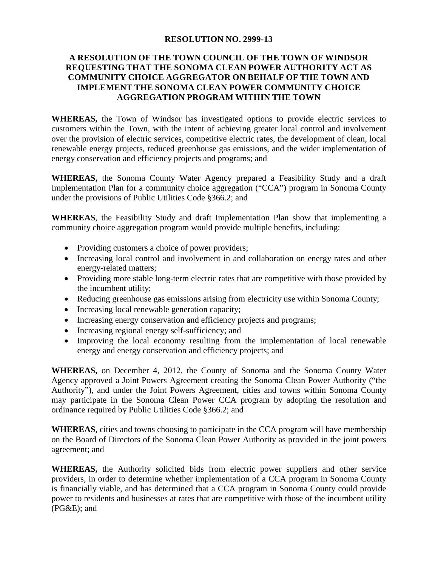## **RESOLUTION NO. 2999-13**

## **A RESOLUTION OF THE TOWN COUNCIL OF THE TOWN OF WINDSOR REQUESTING THAT THE SONOMA CLEAN POWER AUTHORITY ACT AS COMMUNITY CHOICE AGGREGATOR ON BEHALF OF THE TOWN AND IMPLEMENT THE SONOMA CLEAN POWER COMMUNITY CHOICE AGGREGATION PROGRAM WITHIN THE TOWN**

**WHEREAS,** the Town of Windsor has investigated options to provide electric services to customers within the Town, with the intent of achieving greater local control and involvement over the provision of electric services, competitive electric rates, the development of clean, local renewable energy projects, reduced greenhouse gas emissions, and the wider implementation of energy conservation and efficiency projects and programs; and

**WHEREAS,** the Sonoma County Water Agency prepared a Feasibility Study and a draft Implementation Plan for a community choice aggregation ("CCA") program in Sonoma County under the provisions of Public Utilities Code §366.2; and

**WHEREAS**, the Feasibility Study and draft Implementation Plan show that implementing a community choice aggregation program would provide multiple benefits, including:

- Providing customers a choice of power providers;
- Increasing local control and involvement in and collaboration on energy rates and other energy-related matters;
- Providing more stable long-term electric rates that are competitive with those provided by the incumbent utility;
- Reducing greenhouse gas emissions arising from electricity use within Sonoma County;
- Increasing local renewable generation capacity;
- Increasing energy conservation and efficiency projects and programs;
- Increasing regional energy self-sufficiency; and
- Improving the local economy resulting from the implementation of local renewable energy and energy conservation and efficiency projects; and

**WHEREAS,** on December 4, 2012, the County of Sonoma and the Sonoma County Water Agency approved a Joint Powers Agreement creating the Sonoma Clean Power Authority ("the Authority"), and under the Joint Powers Agreement, cities and towns within Sonoma County may participate in the Sonoma Clean Power CCA program by adopting the resolution and ordinance required by Public Utilities Code §366.2; and

**WHEREAS**, cities and towns choosing to participate in the CCA program will have membership on the Board of Directors of the Sonoma Clean Power Authority as provided in the joint powers agreement; and

**WHEREAS,** the Authority solicited bids from electric power suppliers and other service providers, in order to determine whether implementation of a CCA program in Sonoma County is financially viable, and has determined that a CCA program in Sonoma County could provide power to residents and businesses at rates that are competitive with those of the incumbent utility (PG&E); and